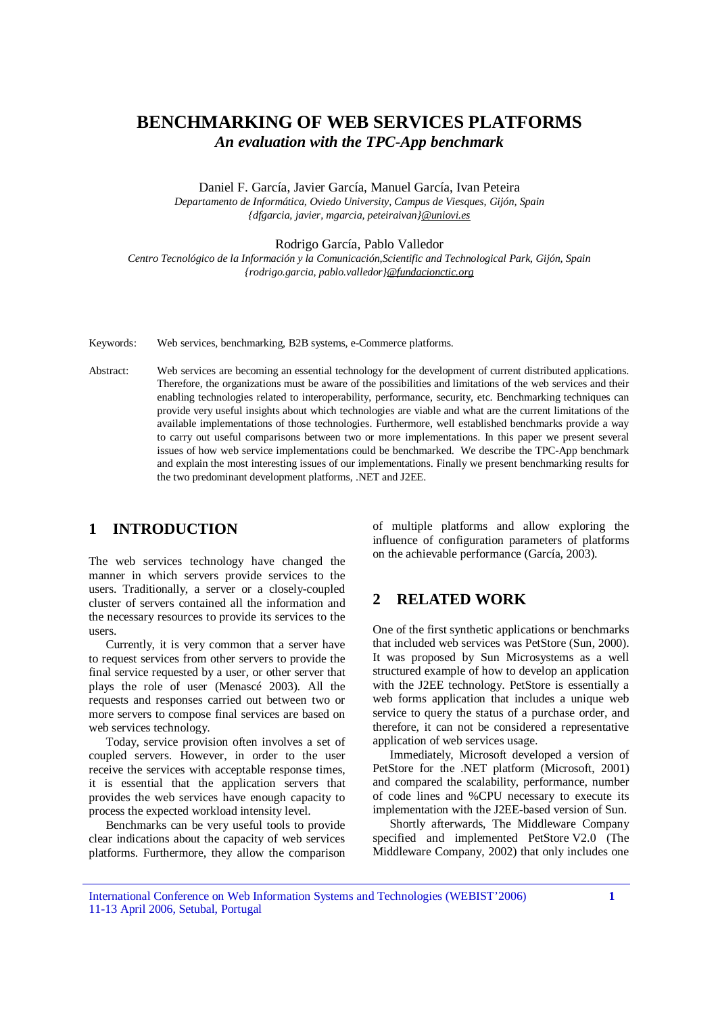# **BENCHMARKING OF WEB SERVICES PLATFORMS**  *An evaluation with the TPC-App benchmark*

Daniel F. García, Javier García, Manuel García, Ivan Peteira

*Departamento de Informática, Oviedo University, Campus de Viesques, Gijón, Spain {dfgarcia, javier, mgarcia, peteiraivan[}@uniovi.es](mailto:@uniovi.es)*

Rodrigo García, Pablo Valledor

*Centro Tecnológico de la Información y la Comunicación,Scientific and Technological Park, Gijón, Spain {rodrigo.garcia, pablo.valledor}[@fundacionctic.org](mailto:@fundacionctic.org)*

Keywords: Web services, benchmarking, B2B systems, e-Commerce platforms.

Abstract: Web services are becoming an essential technology for the development of current distributed applications. Therefore, the organizations must be aware of the possibilities and limitations of the web services and their enabling technologies related to interoperability, performance, security, etc. Benchmarking techniques can provide very useful insights about which technologies are viable and what are the current limitations of the available implementations of those technologies. Furthermore, well established benchmarks provide a way to carry out useful comparisons between two or more implementations. In this paper we present several issues of how web service implementations could be benchmarked. We describe the TPC-App benchmark and explain the most interesting issues of our implementations. Finally we present benchmarking results for the two predominant development platforms, .NET and J2EE.

## **1 INTRODUCTION**

The web services technology have changed the manner in which servers provide services to the users. Traditionally, a server or a closely-coupled cluster of servers contained all the information and the necessary resources to provide its services to the users.

Currently, it is very common that a server have to request services from other servers to provide the final service requested by a user, or other server that plays the role of user (Menascé 2003). All the requests and responses carried out between two or more servers to compose final services are based on web services technology.

Today, service provision often involves a set of coupled servers. However, in order to the user receive the services with acceptable response times, it is essential that the application servers that provides the web services have enough capacity to process the expected workload intensity level.

Benchmarks can be very useful tools to provide clear indications about the capacity of web services platforms. Furthermore, they allow the comparison of multiple platforms and allow exploring the influence of configuration parameters of platforms on the achievable performance (García, 2003).

# **2 RELATED WORK**

One of the first synthetic applications or benchmarks that included web services was PetStore (Sun, 2000). It was proposed by Sun Microsystems as a well structured example of how to develop an application with the J2EE technology. PetStore is essentially a web forms application that includes a unique web service to query the status of a purchase order, and therefore, it can not be considered a representative application of web services usage.

Immediately, Microsoft developed a version of PetStore for the .NET platform (Microsoft, 2001) and compared the scalability, performance, number of code lines and %CPU necessary to execute its implementation with the J2EE-based version of Sun.

Shortly afterwards, The Middleware Company specified and implemented PetStore V2.0 (The Middleware Company, 2002) that only includes one

International Conference on Web Information Systems and Technologies (WEBIST'2006) 11-13 April 2006, Setubal, Portugal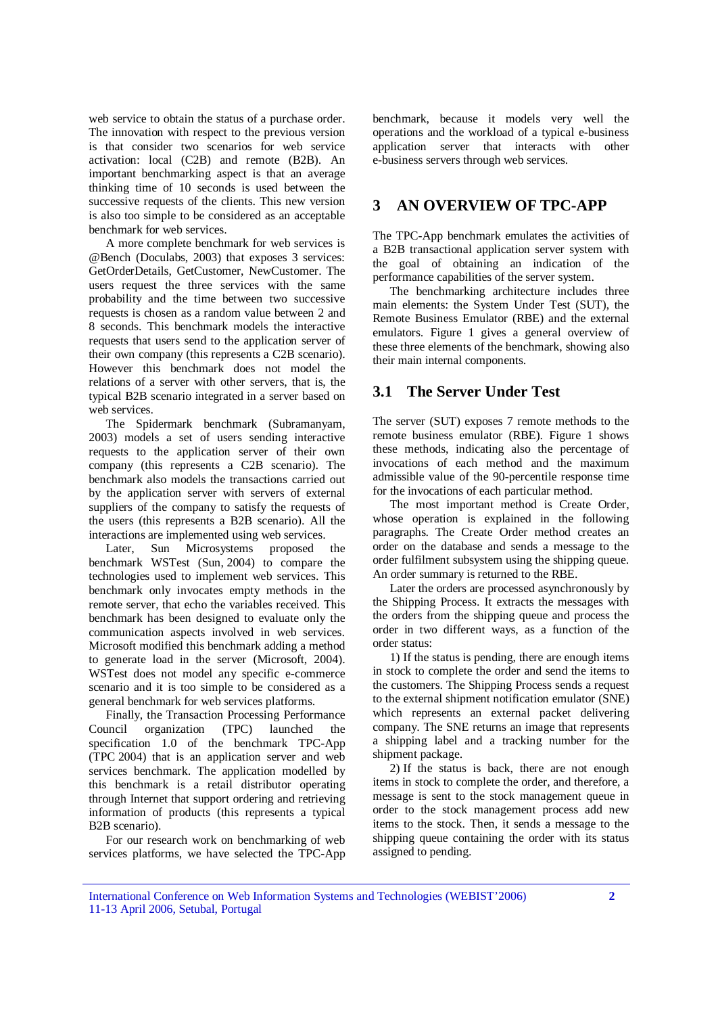web service to obtain the status of a purchase order. The innovation with respect to the previous version is that consider two scenarios for web service activation: local (C2B) and remote (B2B). An important benchmarking aspect is that an average thinking time of 10 seconds is used between the successive requests of the clients. This new version is also too simple to be considered as an acceptable benchmark for web services.

A more complete benchmark for web services is @Bench (Doculabs, 2003) that exposes 3 services: GetOrderDetails, GetCustomer, NewCustomer. The users request the three services with the same probability and the time between two successive requests is chosen as a random value between 2 and 8 seconds. This benchmark models the interactive requests that users send to the application server of their own company (this represents a C2B scenario). However this benchmark does not model the relations of a server with other servers, that is, the typical B2B scenario integrated in a server based on web services.

The Spidermark benchmark (Subramanyam, 2003) models a set of users sending interactive requests to the application server of their own company (this represents a C2B scenario). The benchmark also models the transactions carried out by the application server with servers of external suppliers of the company to satisfy the requests of the users (this represents a B2B scenario). All the interactions are implemented using web services.<br>Later, Sun Microsystems proposed

Later, Sun Microsystems proposed the benchmark WSTest (Sun, 2004) to compare the technologies used to implement web services. This benchmark only invocates empty methods in the remote server, that echo the variables received. This benchmark has been designed to evaluate only the communication aspects involved in web services. Microsoft modified this benchmark adding a method to generate load in the server (Microsoft, 2004). WSTest does not model any specific e-commerce scenario and it is too simple to be considered as a general benchmark for web services platforms.

Finally, the Transaction Processing Performance Council organization (TPC) launched the specification 1.0 of the benchmark TPC-App (TPC 2004) that is an application server and web services benchmark. The application modelled by this benchmark is a retail distributor operating through Internet that support ordering and retrieving information of products (this represents a typical B2B scenario).

For our research work on benchmarking of web services platforms, we have selected the TPC-App

benchmark, because it models very well the operations and the workload of a typical e-business application server that interacts with other e-business servers through web services.

## **3 AN OVERVIEW OF TPC-APP**

The TPC-App benchmark emulates the activities of a B2B transactional application server system with the goal of obtaining an indication of the performance capabilities of the server system.

The benchmarking architecture includes three main elements: the System Under Test (SUT), the Remote Business Emulator (RBE) and the external emulators. Figure 1 gives a general overview of these three elements of the benchmark, showing also their main internal components.

## **3.1 The Server Under Test**

The server (SUT) exposes 7 remote methods to the remote business emulator (RBE). Figure 1 shows these methods, indicating also the percentage of invocations of each method and the maximum admissible value of the 90-percentile response time for the invocations of each particular method.

The most important method is Create Order, whose operation is explained in the following paragraphs. The Create Order method creates an order on the database and sends a message to the order fulfilment subsystem using the shipping queue. An order summary is returned to the RBE.

Later the orders are processed asynchronously by the Shipping Process. It extracts the messages with the orders from the shipping queue and process the order in two different ways, as a function of the order status:

1) If the status is pending, there are enough items in stock to complete the order and send the items to the customers. The Shipping Process sends a request to the external shipment notification emulator (SNE) which represents an external packet delivering company. The SNE returns an image that represents a shipping label and a tracking number for the shipment package.

2) If the status is back, there are not enough items in stock to complete the order, and therefore, a message is sent to the stock management queue in order to the stock management process add new items to the stock. Then, it sends a message to the shipping queue containing the order with its status assigned to pending.

International Conference on Web Information Systems and Technologies (WEBIST'2006) 11-13 April 2006, Setubal, Portugal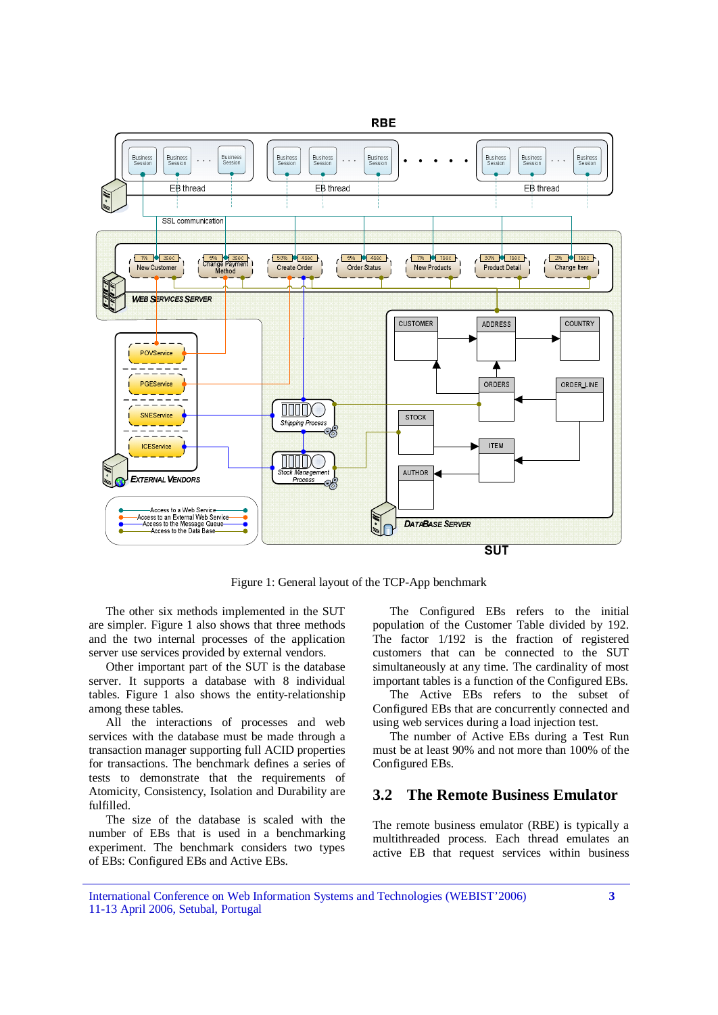

Figure 1: General layout of the TCP-App benchmark

The other six methods implemented in the SUT are simpler. Figure 1 also shows that three methods and the two internal processes of the application server use services provided by external vendors.

Other important part of the SUT is the database server. It supports a database with 8 individual tables. Figure 1 also shows the entity-relationship among these tables.

All the interactions of processes and web services with the database must be made through a transaction manager supporting full ACID properties for transactions. The benchmark defines a series of tests to demonstrate that the requirements of Atomicity, Consistency, Isolation and Durability are fulfilled.

The size of the database is scaled with the number of EBs that is used in a benchmarking experiment. The benchmark considers two types of EBs: Configured EBs and Active EBs.

The Configured EBs refers to the initial population of the Customer Table divided by 192. The factor 1/192 is the fraction of registered customers that can be connected to the SUT simultaneously at any time. The cardinality of most important tables is a function of the Configured EBs.

The Active EBs refers to the subset of Configured EBs that are concurrently connected and using web services during a load injection test.

The number of Active EBs during a Test Run must be at least 90% and not more than 100% of the Configured EBs.

# **3.2 The Remote Business Emulator**

The remote business emulator (RBE) is typically a multithreaded process. Each thread emulates an active EB that request services within business

International Conference on Web Information Systems and Technologies (WEBIST'2006) 11-13 April 2006, Setubal, Portugal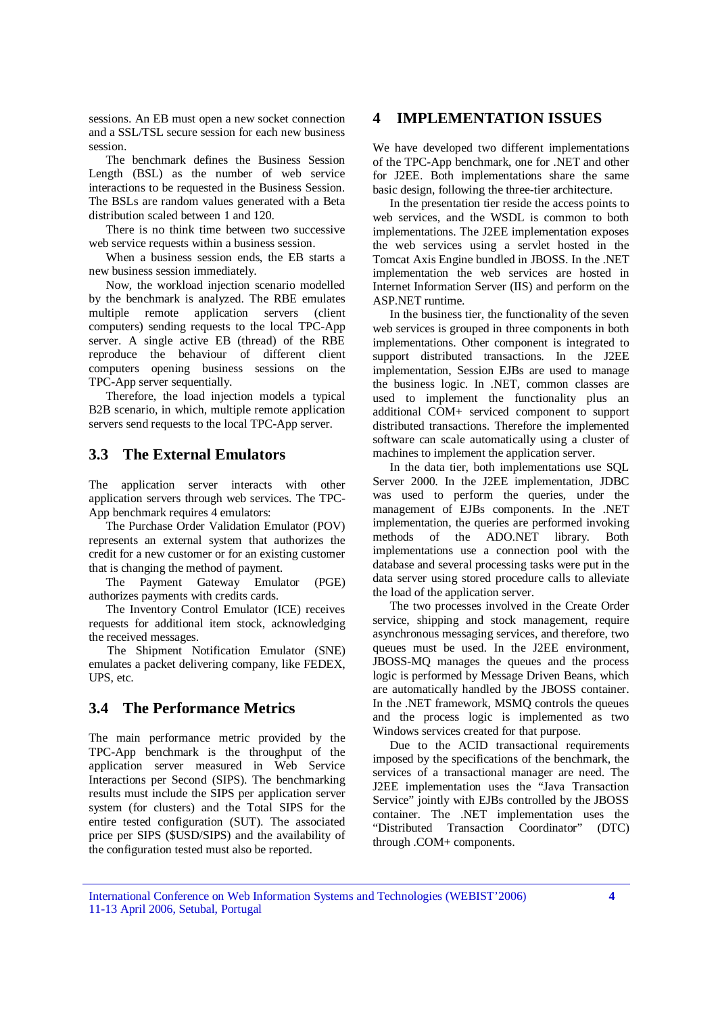sessions. An EB must open a new socket connection and a SSL/TSL secure session for each new business session.

The benchmark defines the Business Session Length (BSL) as the number of web service interactions to be requested in the Business Session. The BSLs are random values generated with a Beta distribution scaled between 1 and 120.

There is no think time between two successive web service requests within a business session.

When a business session ends, the EB starts a new business session immediately.

Now, the workload injection scenario modelled by the benchmark is analyzed. The RBE emulates multiple remote application servers (client computers) sending requests to the local TPC-App server. A single active EB (thread) of the RBE reproduce the behaviour of different client computers opening business sessions on the TPC-App server sequentially.

Therefore, the load injection models a typical B2B scenario, in which, multiple remote application servers send requests to the local TPC-App server.

# **3.3 The External Emulators**

The application server interacts with other application servers through web services. The TPC-App benchmark requires 4 emulators:

The Purchase Order Validation Emulator (POV) represents an external system that authorizes the credit for a new customer or for an existing customer that is changing the method of payment.

The Payment Gateway Emulator (PGE) authorizes payments with credits cards.

The Inventory Control Emulator (ICE) receives requests for additional item stock, acknowledging the received messages.

The Shipment Notification Emulator (SNE) emulates a packet delivering company, like FEDEX, UPS, etc.

## **3.4 The Performance Metrics**

The main performance metric provided by the TPC-App benchmark is the throughput of the application server measured in Web Service Interactions per Second (SIPS). The benchmarking results must include the SIPS per application server system (for clusters) and the Total SIPS for the entire tested configuration (SUT). The associated price per SIPS (\$USD/SIPS) and the availability of the configuration tested must also be reported.

## **4 IMPLEMENTATION ISSUES**

We have developed two different implementations of the TPC-App benchmark, one for .NET and other for J2EE. Both implementations share the same basic design, following the three-tier architecture.

In the presentation tier reside the access points to web services, and the WSDL is common to both implementations. The J2EE implementation exposes the web services using a servlet hosted in the Tomcat Axis Engine bundled in JBOSS. In the .NET implementation the web services are hosted in Internet Information Server (IIS) and perform on the ASP.NET runtime.

In the business tier, the functionality of the seven web services is grouped in three components in both implementations. Other component is integrated to support distributed transactions. In the J2EE implementation, Session EJBs are used to manage the business logic. In .NET, common classes are used to implement the functionality plus an additional COM+ serviced component to support distributed transactions. Therefore the implemented software can scale automatically using a cluster of machines to implement the application server.

In the data tier, both implementations use SQL Server 2000. In the J2EE implementation, JDBC was used to perform the queries, under the management of EJBs components. In the .NET implementation, the queries are performed invoking methods of the ADO.NET library. Both implementations use a connection pool with the database and several processing tasks were put in the data server using stored procedure calls to alleviate the load of the application server.

The two processes involved in the Create Order service, shipping and stock management, require asynchronous messaging services, and therefore, two queues must be used. In the J2EE environment, JBOSS-MQ manages the queues and the process logic is performed by Message Driven Beans, which are automatically handled by the JBOSS container. In the .NET framework, MSMQ controls the queues and the process logic is implemented as two Windows services created for that purpose.

Due to the ACID transactional requirements imposed by the specifications of the benchmark, the services of a transactional manager are need. The J2EE implementation uses the "Java Transaction Service" jointly with EJBs controlled by the JBOSS container. The .NET implementation uses the "Distributed Transaction Coordinator" (DTC) through .COM+ components.

International Conference on Web Information Systems and Technologies (WEBIST'2006) 11-13 April 2006, Setubal, Portugal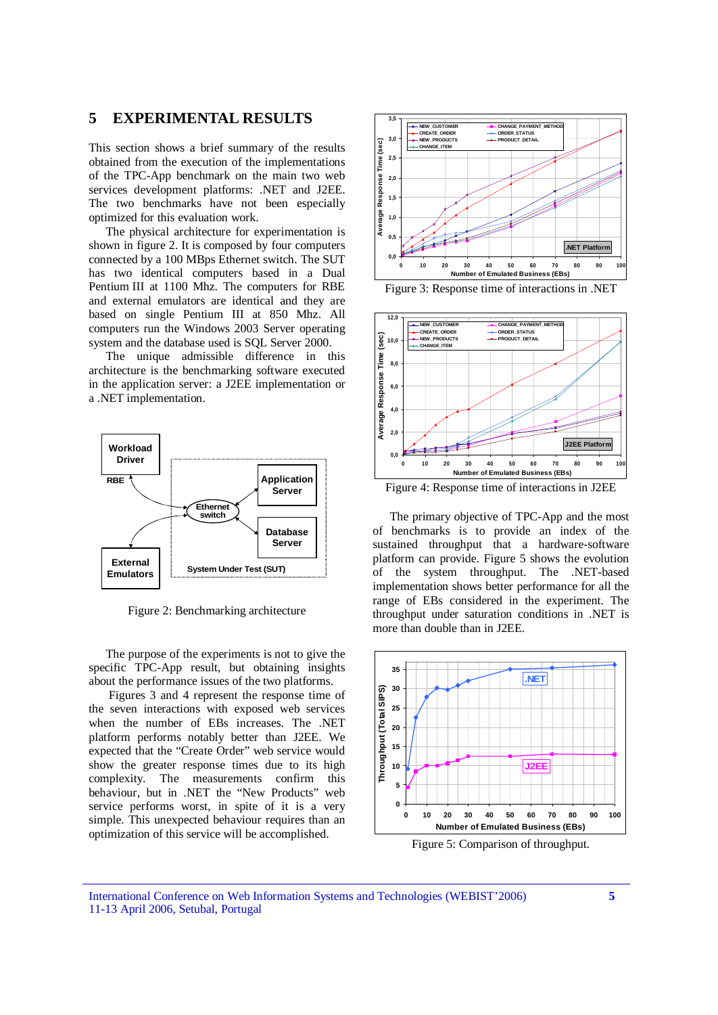# **5 EXPERIMENTAL RESULTS**

This section shows a brief summary of the results obtained from the execution of the implementations of the TPC-App benchmark on the main two web services development platforms: .NET and J2EE. The two benchmarks have not been especially optimized for this evaluation work.

The physical architecture for experimentation is shown in figure 2. It is composed by four computers connected by a 100 MBps Ethernet switch. The SUT has two identical computers based in a Dual Pentium III at 1100 Mhz. The computers for RBE and external emulators are identical and they are based on single Pentium III at 850 Mhz. All computers run the Windows 2003 Server operating system and the database used is SQL Server 2000.

The unique admissible difference in this architecture is the benchmarking software executed in the application server: a J2EE implementation or a .NET implementation.



Figure 2: Benchmarking architecture

The purpose of the experiments is not to give the specific TPC-App result, but obtaining insights about the performance issues of the two platforms.

Figures 3 and 4 represent the response time of the seven interactions with exposed web services when the number of EBs increases. The .NET platform performs notably better than J2EE. We expected that the "Create Order" web service would show the greater response times due to its high complexity. The measurements confirm this behaviour, but in .NET the "New Products" web service performs worst, in spite of it is a very simple. This unexpected behaviour requires than an optimization of this service will be accomplished.



Figure 3: Response time of interactions in .NET



Figure 4: Response time of interactions in J2EE

The primary objective of TPC-App and the most of benchmarks is to provide an index of the sustained throughput that a hardware-software platform can provide. Figure 5 shows the evolution of the system throughput. The .NET-based implementation shows better performance for all the range of EBs considered in the experiment. The throughput under saturation conditions in .NET is more than double than in J2EE.



Figure 5: Comparison of throughput.

International Conference on Web Information Systems and Technologies (WEBIST'2006) 11-13 April 2006, Setubal, Portugal